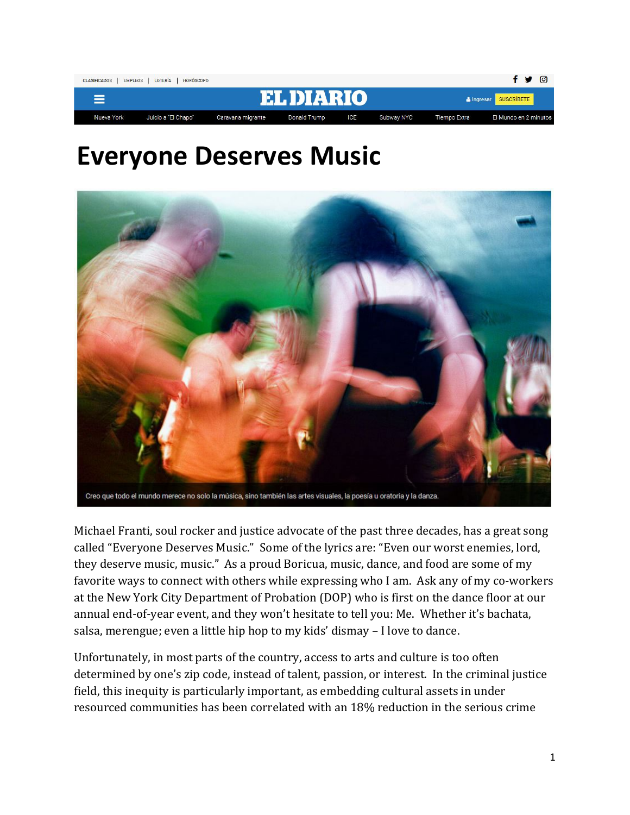

## **Everyone Deserves Music**



Michael Franti, soul rocker and justice advocate of the past three decades, has a great song called "Everyone Deserves Music." Some of the lyrics are: "Even our worst enemies, lord, they deserve music, music." As a proud Boricua, music, dance, and food are some of my favorite ways to connect with others while expressing who I am. Ask any of my co-workers at the New York City Department of Probation (DOP) who is first on the dance floor at our annual end-of-year event, and they won't hesitate to tell you: Me. Whether it's bachata, salsa, merengue; even a little hip hop to my kids' dismay – I love to dance.

Unfortunately, in most parts of the country, access to arts and culture is too often determined by one's zip code, instead of talent, passion, or interest. In the criminal justice field, this inequity is particularly important, as embedding cultural assets in under resourced communities has been correlated with an 18% reduction in the serious crime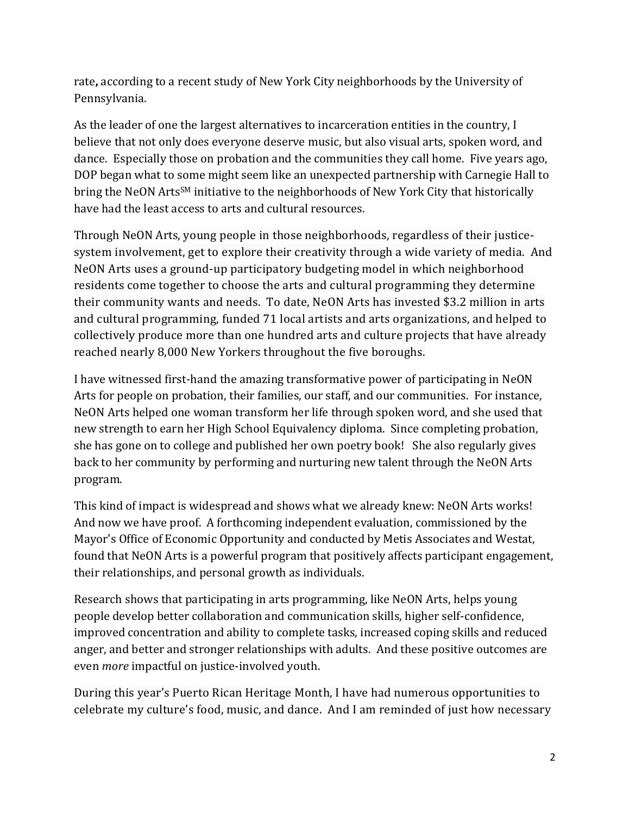rate**,** according to a recent study of New York City neighborhoods by the University of Pennsylvania.

As the leader of one the largest alternatives to incarceration entities in the country, I believe that not only does everyone deserve music, but also visual arts, spoken word, and dance. Especially those on probation and the communities they call home. Five years ago, DOP began what to some might seem like an unexpected partnership with Carnegie Hall to bring the NeON Arts<sup>SM</sup> initiative to the neighborhoods of New York City that historically have had the least access to arts and cultural resources.

Through NeON Arts, young people in those neighborhoods, regardless of their justicesystem involvement, get to explore their creativity through a wide variety of media. And NeON Arts uses a ground-up participatory budgeting model in which neighborhood residents come together to choose the arts and cultural programming they determine their community wants and needs. To date, NeON Arts has invested \$3.2 million in arts and cultural programming, funded 71 local artists and arts organizations, and helped to collectively produce more than one hundred arts and culture projects that have already reached nearly 8,000 New Yorkers throughout the five boroughs.

I have witnessed first-hand the amazing transformative power of participating in NeON Arts for people on probation, their families, our staff, and our communities. For instance, NeON Arts helped one woman transform her life through spoken word, and she used that new strength to earn her High School Equivalency diploma. Since completing probation, she has gone on to college and published her own poetry book! She also regularly gives back to her community by performing and nurturing new talent through the NeON Arts program.

This kind of impact is widespread and shows what we already knew: NeON Arts works! And now we have proof. A forthcoming independent evaluation, commissioned by the Mayor's Office of Economic Opportunity and conducted by Metis Associates and Westat, found that NeON Arts is a powerful program that positively affects participant engagement, their relationships, and personal growth as individuals.

Research shows that participating in arts programming, like NeON Arts, helps young people develop better collaboration and communication skills, higher self-confidence, improved concentration and ability to complete tasks, increased coping skills and reduced anger, and better and stronger relationships with adults. And these positive outcomes are even *more* impactful on justice-involved youth.

During this year's Puerto Rican Heritage Month, I have had numerous opportunities to celebrate my culture's food, music, and dance. And I am reminded of just how necessary